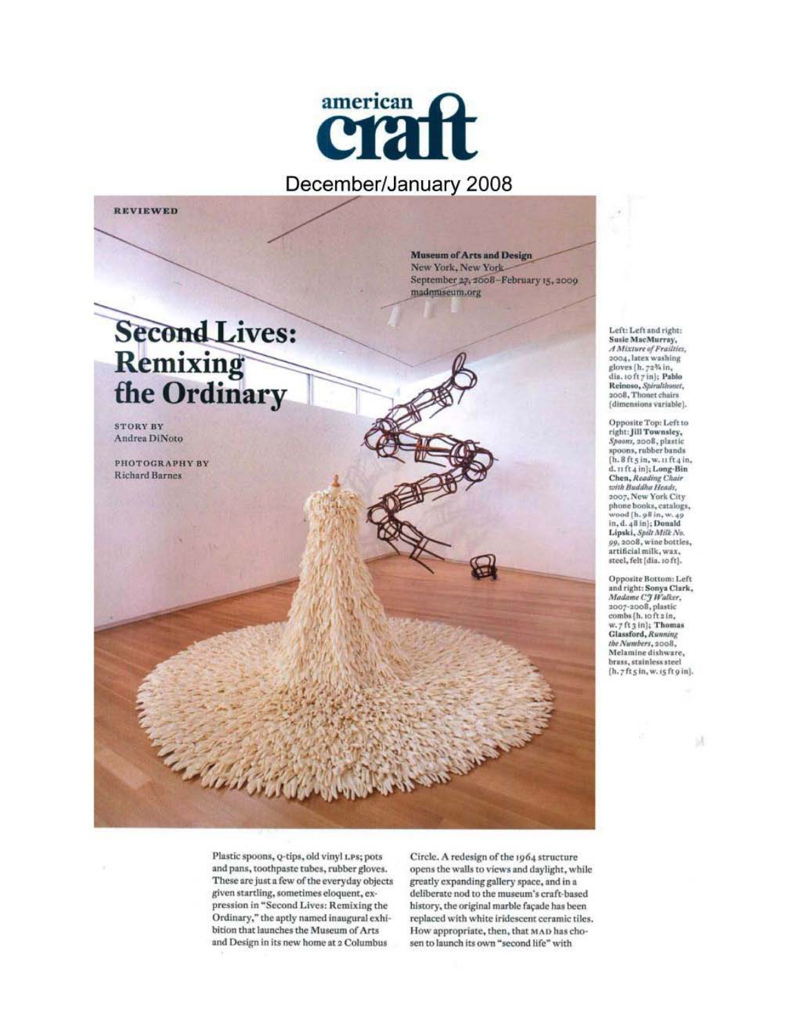

## December/January 2008



Left: Left and right: Susie MacMurray,<br>A Mixture of Frailties, 2004, latex washing gloves  $(h, 72\% in,$ <br>dia, 10 ft 7 in); Pablo Reinoso, Spiralthonet, 2008, Thonet chairs<br>(dimensions variable).

Opposite Top: Left to<br>right: Jill Townsley,<br>Spoons, 2008, plastic spoons, 2006, pussic<br>spoons, rubber bands<br>(h. 8 ft 5 in, w. 11 ft 4 in,<br>d. 11 ft 4 in); Long-Bin<br>Chen, *Reading Chair*<br>with Buddha Heads, 2007, New York City phone books, catalogs, wood (h. 98 in, w. 45)<br>in, d. 48 in); Donald Lipski, Spilt Milk No.<br>99, 2008, wine bottles, artificial milk, wax, steel, felt [dia. 10 ft].

Opposite Bottom: Left and right: Sonya Clark,<br>Madame CJ Walker, 2007-2008, plastic combs (h. 10ft z in, w. 7 ft 3 in]; Thomas<br>Glassford, Running the Numbers, 2008, Melamine dishware, brass, stainless steel  $[h.7ft \sin, w.$  is ft  $g$  in).

5A

Plastic spoons, Q-tips, old vinyl LPs; pots and pans, toothpaste tubes, rubber gloves. These are just a few of the everyday objects given startling, sometimes eloquent, expression in "Second Lives: Remixing the Ordinary," the aptly named inaugural exhibition that launches the Museum of Arts and Design in its new home at 2 Columbus

Circle. A redesign of the 1964 structure opens the walls to views and daylight, while greatly expanding gallery space, and in a deliberate nod to the museum's craft-based history, the original marble façade has been replaced with white iridescent ceramic tiles. How appropriate, then, that MAD has chosen to launch its own "second life" with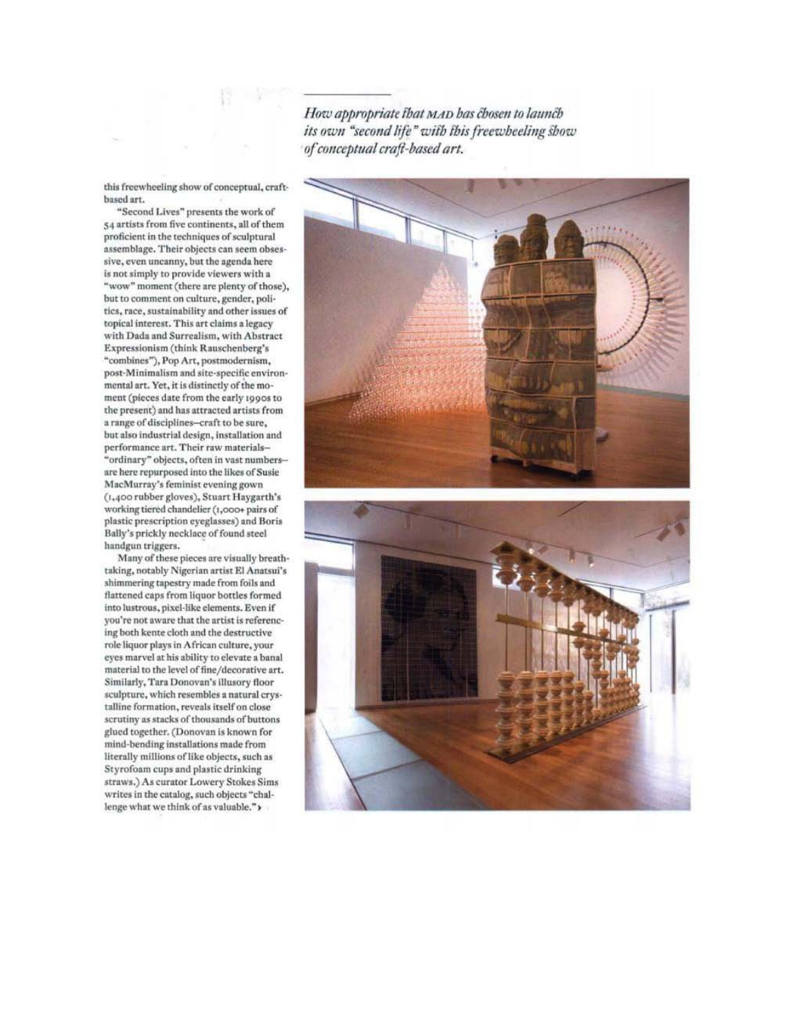How appropriate fhat MAD has chosen to launch its own "second life" with this freewheeling show of conceptual craft-based art.

this freewheeling show of conceptual, craftbased art.

"Second Lives" presents the work of 54 artists from five continents, all of them proficient in the techniques of sculptural assemblage. Their objects can seem obsessive, even uncanny, but the agenda here is not simply to provide viewers with a "wow" moment (there are plenty of those), but to comment on culture, gender, politics, race, sustainability and other issues of topical interest. This art claims a legacy with Dada and Surrealism, with Abstract Expressionism (think Rauschenberg's "combines"), Pop Art, postmodernism, post-Minimalism and site-specific environmental art. Yet, it is distinctly of the moment (pieces date from the early 1990s to the present) and has attracted artists from a range of disciplines-craft to be sure, but also industrial design, installation and performance art. Their raw materials-"ordinary" objects, often in vast numbersare here repurposed into the likes of Susie MacMurray's feminist evening gown (1,400 rubber gloves), Stuart Haygarth's working tiered chandelier (1,000+ pairs of plastic prescription eyeglasses) and Boris Bally's prickly necklace of found steel handgun triggers.

Many of these pieces are visually breathtaking, notably Nigerian artist El Anatsui's shimmering tapestry made from foils and flattened caps from liquor bottles formed into lustrous, pixel-like elements. Even if you're not aware that the artist is referencing both kente cloth and the destructive role liquor plays in African culture, your eyes marvel at his ability to elevate a banal material to the level of fine/decorative art. Similarly, Tara Donovan's illusory floor sculpture, which resembles a natural crystalline formation, reveals itself on close scrutiny as stacks of thousands of buttons glued together. (Donovan is known for mind-bending installations made from literally millions of like objects, such as Styrofoam cups and plastic drinking straws.) As curator Lowery Stokes Sims writes in the catalog, such objects "challenge what we think of as valuable.">